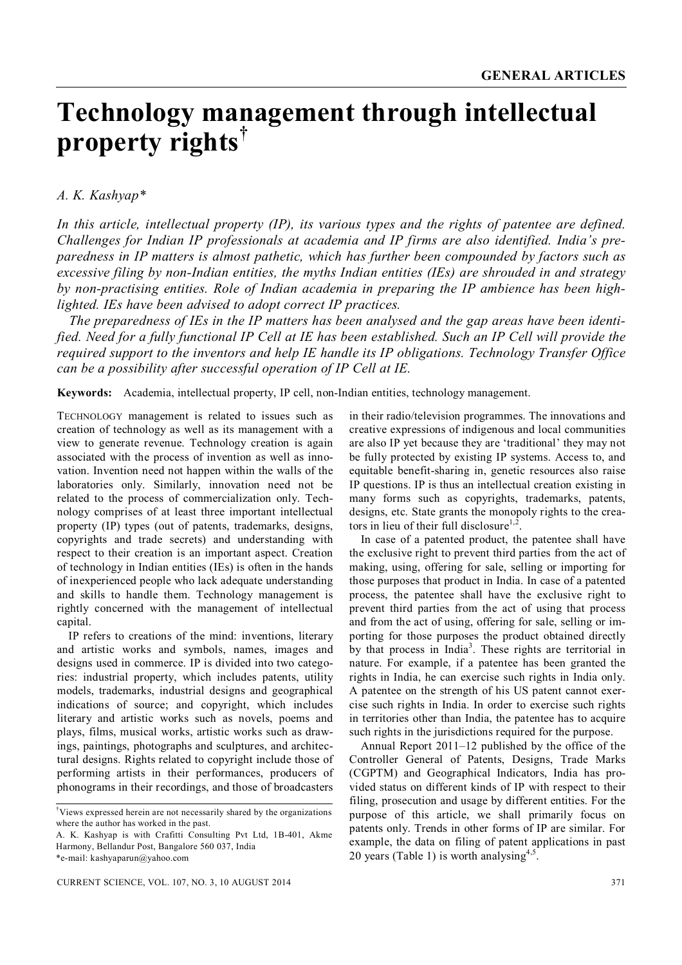# **Technology management through intellectual property rights†**

# *A. K. Kashyap\**

*In this article, intellectual property (IP), its various types and the rights of patentee are defined. Challenges for Indian IP professionals at academia and IP firms are also identified. India's preparedness in IP matters is almost pathetic, which has further been compounded by factors such as excessive filing by non-Indian entities, the myths Indian entities (IEs) are shrouded in and strategy by non-practising entities. Role of Indian academia in preparing the IP ambience has been highlighted. IEs have been advised to adopt correct IP practices.* 

*The preparedness of IEs in the IP matters has been analysed and the gap areas have been identified. Need for a fully functional IP Cell at IE has been established. Such an IP Cell will provide the required support to the inventors and help IE handle its IP obligations. Technology Transfer Office can be a possibility after successful operation of IP Cell at IE.*

**Keywords:** Academia, intellectual property, IP cell, non-Indian entities, technology management.

TECHNOLOGY management is related to issues such as creation of technology as well as its management with a view to generate revenue. Technology creation is again associated with the process of invention as well as innovation. Invention need not happen within the walls of the laboratories only. Similarly, innovation need not be related to the process of commercialization only. Technology comprises of at least three important intellectual property (IP) types (out of patents, trademarks, designs, copyrights and trade secrets) and understanding with respect to their creation is an important aspect. Creation of technology in Indian entities (IEs) is often in the hands of inexperienced people who lack adequate understanding and skills to handle them. Technology management is rightly concerned with the management of intellectual capital.

IP refers to creations of the mind: inventions, literary and artistic works and symbols, names, images and designs used in commerce. IP is divided into two categories: industrial property, which includes patents, utility models, trademarks, industrial designs and geographical indications of source; and copyright, which includes literary and artistic works such as novels, poems and plays, films, musical works, artistic works such as drawings, paintings, photographs and sculptures, and architectural designs. Rights related to copyright include those of performing artists in their performances, producers of phonograms in their recordings, and those of broadcasters

in their radio/television programmes. The innovations and creative expressions of indigenous and local communities are also IP yet because they are 'traditional' they may not be fully protected by existing IP systems. Access to, and equitable benefit-sharing in, genetic resources also raise IP questions. IP is thus an intellectual creation existing in many forms such as copyrights, trademarks, patents, designs, etc. State grants the monopoly rights to the creators in lieu of their full disclosure $1,2$ .

In case of a patented product, the patentee shall have the exclusive right to prevent third parties from the act of making, using, offering for sale, selling or importing for those purposes that product in India. In case of a patented process, the patentee shall have the exclusive right to prevent third parties from the act of using that process and from the act of using, offering for sale, selling or importing for those purposes the product obtained directly by that process in India<sup>3</sup>. These rights are territorial in nature. For example, if a patentee has been granted the rights in India, he can exercise such rights in India only. A patentee on the strength of his US patent cannot exercise such rights in India. In order to exercise such rights in territories other than India, the patentee has to acquire such rights in the jurisdictions required for the purpose.

Annual Report 2011–12 published by the office of the Controller General of Patents, Designs, Trade Marks (CGPTM) and Geographical Indicators, India has provided status on different kinds of IP with respect to their filing, prosecution and usage by different entities. For the purpose of this article, we shall primarily focus on patents only. Trends in other forms of IP are similar. For example, the data on filing of patent applications in past 20 years (Table 1) is worth analysing<sup>4,5</sup>.

<sup>†</sup>Views expressed herein are not necessarily shared by the organizations where the author has worked in the past.

A. K. Kashyap is with Crafitti Consulting Pvt Ltd, 1B-401, Akme Harmony, Bellandur Post, Bangalore 560 037, India

<sup>\*</sup>e-mail: kashyaparun@yahoo.com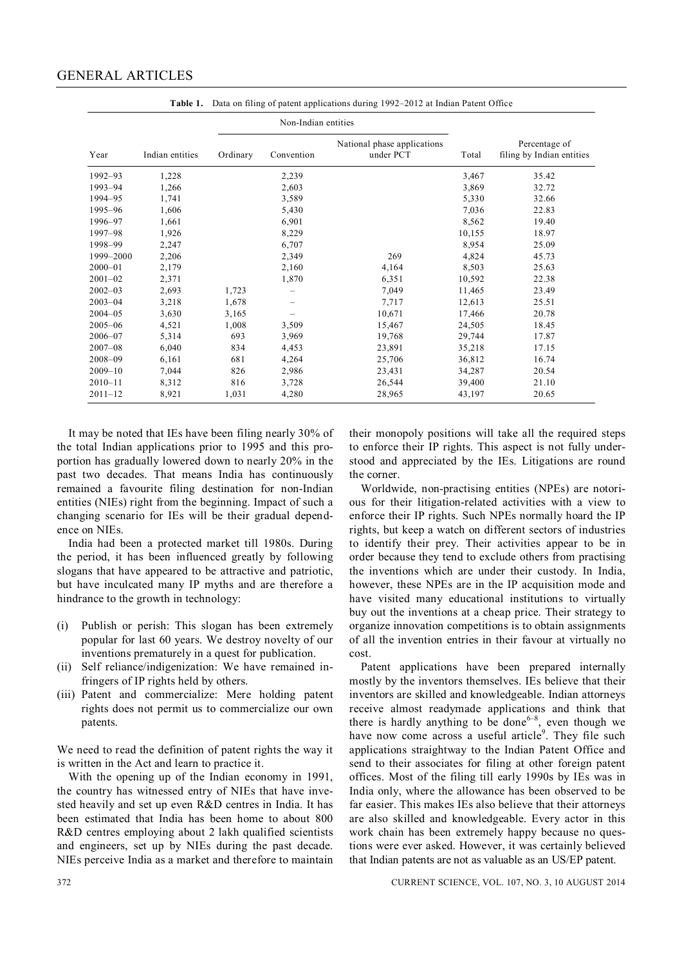# GENERAL ARTICLES

|             |                 | Non-Indian entities |                   |                                          |        |                                            |  |
|-------------|-----------------|---------------------|-------------------|------------------------------------------|--------|--------------------------------------------|--|
| Year        | Indian entities | Ordinary            | Convention        | National phase applications<br>under PCT | Total  | Percentage of<br>filing by Indian entities |  |
| 1992-93     | 1,228           |                     | 2,239             |                                          | 3,467  | 35.42                                      |  |
| 1993-94     | 1,266           |                     | 2,603             |                                          | 3,869  | 32.72                                      |  |
| 1994-95     | 1,741           |                     | 3,589             |                                          | 5,330  | 32.66                                      |  |
| 1995-96     | 1,606           |                     | 5,430             |                                          | 7,036  | 22.83                                      |  |
| 1996-97     | 1,661           |                     | 6,901             |                                          | 8,562  | 19.40                                      |  |
| 1997–98     | 1,926           |                     | 8,229             |                                          | 10,155 | 18.97                                      |  |
| 1998-99     | 2,247           |                     | 6,707             |                                          | 8,954  | 25.09                                      |  |
| 1999-2000   | 2,206           |                     | 2,349             | 269                                      | 4,824  | 45.73                                      |  |
| $2000 - 01$ | 2,179           |                     | 2,160             | 4,164                                    | 8,503  | 25.63                                      |  |
| $2001 - 02$ | 2,371           |                     | 1,870             | 6,351                                    | 10,592 | 22.38                                      |  |
| $2002 - 03$ | 2,693           | 1,723               | -                 | 7,049                                    | 11,465 | 23.49                                      |  |
| $2003 - 04$ | 3,218           | 1,678               | -                 | 7,717                                    | 12,613 | 25.51                                      |  |
| $2004 - 05$ | 3,630           | 3,165               | $\qquad \qquad -$ | 10,671                                   | 17,466 | 20.78                                      |  |
| $2005 - 06$ | 4,521           | 1,008               | 3,509             | 15,467                                   | 24,505 | 18.45                                      |  |
| $2006 - 07$ | 5,314           | 693                 | 3,969             | 19,768                                   | 29,744 | 17.87                                      |  |
| $2007 - 08$ | 6,040           | 834                 | 4,453             | 23,891                                   | 35,218 | 17.15                                      |  |
| $2008 - 09$ | 6,161           | 681                 | 4,264             | 25,706                                   | 36,812 | 16.74                                      |  |
| $2009 - 10$ | 7,044           | 826                 | 2,986             | 23,431                                   | 34,287 | 20.54                                      |  |
| $2010 - 11$ | 8,312           | 816                 | 3,728             | 26,544                                   | 39,400 | 21.10                                      |  |
| $2011 - 12$ | 8,921           | 1,031               | 4,280             | 28,965                                   | 43,197 | 20.65                                      |  |

**Table 1.** Data on filing of patent applications during 1992–2012 at Indian Patent Office

It may be noted that IEs have been filing nearly 30% of the total Indian applications prior to 1995 and this proportion has gradually lowered down to nearly 20% in the past two decades. That means India has continuously remained a favourite filing destination for non-Indian entities (NIEs) right from the beginning. Impact of such a changing scenario for IEs will be their gradual dependence on NIEs.

India had been a protected market till 1980s. During the period, it has been influenced greatly by following slogans that have appeared to be attractive and patriotic, but have inculcated many IP myths and are therefore a hindrance to the growth in technology:

- (i) Publish or perish: This slogan has been extremely popular for last 60 years. We destroy novelty of our inventions prematurely in a quest for publication.
- (ii) Self reliance/indigenization: We have remained infringers of IP rights held by others.
- (iii) Patent and commercialize: Mere holding patent rights does not permit us to commercialize our own patents.

We need to read the definition of patent rights the way it is written in the Act and learn to practice it.

With the opening up of the Indian economy in 1991, the country has witnessed entry of NIEs that have invested heavily and set up even R&D centres in India. It has been estimated that India has been home to about 800 R&D centres employing about 2 lakh qualified scientists and engineers, set up by NIEs during the past decade. NIEs perceive India as a market and therefore to maintain their monopoly positions will take all the required steps to enforce their IP rights. This aspect is not fully understood and appreciated by the IEs. Litigations are round the corner.

Worldwide, non-practising entities (NPEs) are notorious for their litigation-related activities with a view to enforce their IP rights. Such NPEs normally hoard the IP rights, but keep a watch on different sectors of industries to identify their prey. Their activities appear to be in order because they tend to exclude others from practising the inventions which are under their custody. In India, however, these NPEs are in the IP acquisition mode and have visited many educational institutions to virtually buy out the inventions at a cheap price. Their strategy to organize innovation competitions is to obtain assignments of all the invention entries in their favour at virtually no cost.

Patent applications have been prepared internally mostly by the inventors themselves. IEs believe that their inventors are skilled and knowledgeable. Indian attorneys receive almost readymade applications and think that there is hardly anything to be done<sup> $6-8$ </sup>, even though we have now come across a useful article<sup>9</sup>. They file such applications straightway to the Indian Patent Office and send to their associates for filing at other foreign patent offices. Most of the filing till early 1990s by IEs was in India only, where the allowance has been observed to be far easier. This makes IEs also believe that their attorneys are also skilled and knowledgeable. Every actor in this work chain has been extremely happy because no questions were ever asked. However, it was certainly believed that Indian patents are not as valuable as an US/EP patent.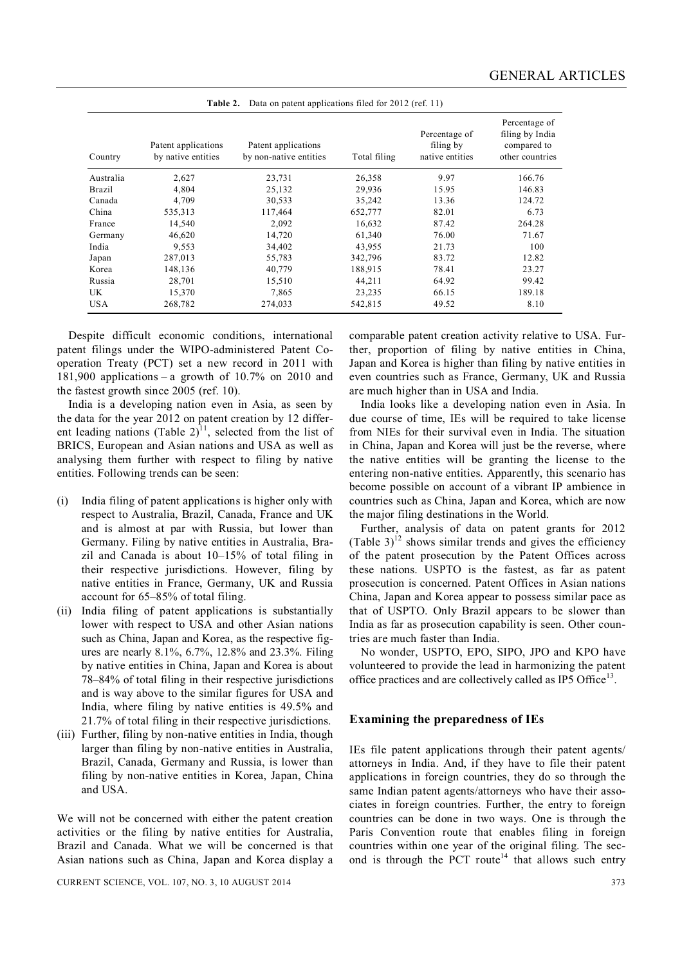| Country    | Patent applications<br>by native entities | Patent applications<br>by non-native entities | Total filing | Percentage of<br>filing by<br>native entities | Percentage of<br>filing by India<br>compared to<br>other countries |
|------------|-------------------------------------------|-----------------------------------------------|--------------|-----------------------------------------------|--------------------------------------------------------------------|
| Australia  | 2,627                                     | 23,731                                        | 26,358       | 9.97                                          | 166.76                                                             |
| Brazil     | 4,804                                     | 25,132                                        | 29,936       | 15.95                                         | 146.83                                                             |
| Canada     | 4,709                                     | 30,533                                        | 35,242       | 13.36                                         | 124.72                                                             |
| China      | 535,313                                   | 117,464                                       | 652,777      | 82.01                                         | 6.73                                                               |
| France     | 14,540                                    | 2,092                                         | 16,632       | 87.42                                         | 264.28                                                             |
| Germany    | 46,620                                    | 14,720                                        | 61,340       | 76.00                                         | 71.67                                                              |
| India      | 9.553                                     | 34,402                                        | 43,955       | 21.73                                         | 100                                                                |
| Japan      | 287,013                                   | 55,783                                        | 342,796      | 83.72                                         | 12.82                                                              |
| Korea      | 148,136                                   | 40,779                                        | 188,915      | 78.41                                         | 23.27                                                              |
| Russia     | 28,701                                    | 15,510                                        | 44,211       | 64.92                                         | 99.42                                                              |
| UK         | 15,370                                    | 7,865                                         | 23,235       | 66.15                                         | 189.18                                                             |
| <b>USA</b> | 268,782                                   | 274,033                                       | 542,815      | 49.52                                         | 8.10                                                               |

**Table 2.** Data on patent applications filed for 2012 (ref. 11)

Despite difficult economic conditions, international patent filings under the WIPO-administered Patent Cooperation Treaty (PCT) set a new record in 2011 with 181,900 applications – a growth of 10.7% on 2010 and the fastest growth since 2005 (ref. 10).

India is a developing nation even in Asia, as seen by the data for the year 2012 on patent creation by 12 different leading nations (Table 2)<sup>11</sup>, selected from the list of BRICS, European and Asian nations and USA as well as analysing them further with respect to filing by native entities. Following trends can be seen:

- (i) India filing of patent applications is higher only with respect to Australia, Brazil, Canada, France and UK and is almost at par with Russia, but lower than Germany. Filing by native entities in Australia, Brazil and Canada is about 10–15% of total filing in their respective jurisdictions. However, filing by native entities in France, Germany, UK and Russia account for 65–85% of total filing.
- (ii) India filing of patent applications is substantially lower with respect to USA and other Asian nations such as China, Japan and Korea, as the respective figures are nearly 8.1%, 6.7%, 12.8% and 23.3%. Filing by native entities in China, Japan and Korea is about 78–84% of total filing in their respective jurisdictions and is way above to the similar figures for USA and India, where filing by native entities is 49.5% and 21.7% of total filing in their respective jurisdictions.
- (iii) Further, filing by non-native entities in India, though larger than filing by non-native entities in Australia, Brazil, Canada, Germany and Russia, is lower than filing by non-native entities in Korea, Japan, China and USA.

We will not be concerned with either the patent creation activities or the filing by native entities for Australia, Brazil and Canada. What we will be concerned is that Asian nations such as China, Japan and Korea display a

CURRENT SCIENCE, VOL. 107, NO. 3, 10 AUGUST 2014 373

comparable patent creation activity relative to USA. Further, proportion of filing by native entities in China, Japan and Korea is higher than filing by native entities in even countries such as France, Germany, UK and Russia are much higher than in USA and India.

India looks like a developing nation even in Asia. In due course of time, IEs will be required to take license from NIEs for their survival even in India. The situation in China, Japan and Korea will just be the reverse, where the native entities will be granting the license to the entering non-native entities. Apparently, this scenario has become possible on account of a vibrant IP ambience in countries such as China, Japan and Korea, which are now the major filing destinations in the World.

Further, analysis of data on patent grants for 2012 (Table  $3^{12}$  shows similar trends and gives the efficiency of the patent prosecution by the Patent Offices across these nations. USPTO is the fastest, as far as patent prosecution is concerned. Patent Offices in Asian nations China, Japan and Korea appear to possess similar pace as that of USPTO. Only Brazil appears to be slower than India as far as prosecution capability is seen. Other countries are much faster than India.

No wonder, USPTO, EPO, SIPO, JPO and KPO have volunteered to provide the lead in harmonizing the patent office practices and are collectively called as IP5 Office<sup>13</sup>.

#### **Examining the preparedness of IEs**

IEs file patent applications through their patent agents/ attorneys in India. And, if they have to file their patent applications in foreign countries, they do so through the same Indian patent agents/attorneys who have their associates in foreign countries. Further, the entry to foreign countries can be done in two ways. One is through the Paris Convention route that enables filing in foreign countries within one year of the original filing. The second is through the PCT route<sup>14</sup> that allows such entry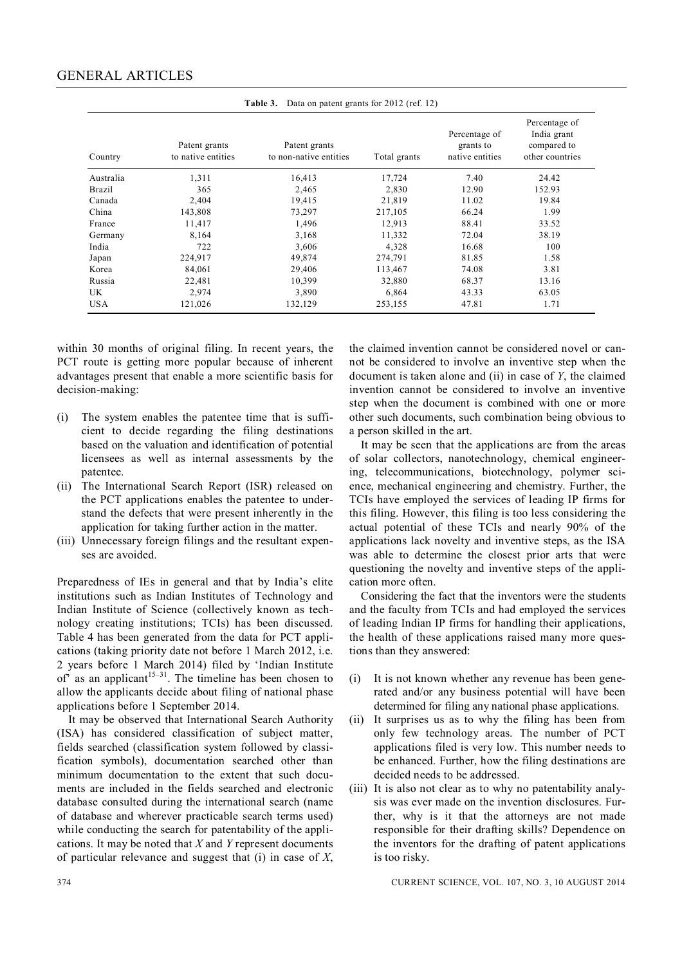| Country    | Patent grants<br>to native entities | Patent grants<br>to non-native entities | Total grants | Percentage of<br>grants to<br>native entities | Percentage of<br>India grant<br>compared to<br>other countries |
|------------|-------------------------------------|-----------------------------------------|--------------|-----------------------------------------------|----------------------------------------------------------------|
| Australia  | 1,311                               | 16,413                                  | 17,724       | 7.40                                          | 24.42                                                          |
| Brazil     | 365                                 | 2,465                                   | 2,830        | 12.90                                         | 152.93                                                         |
| Canada     | 2,404                               | 19,415                                  | 21,819       | 11.02                                         | 19.84                                                          |
| China      | 143,808                             | 73,297                                  | 217,105      | 66.24                                         | 1.99                                                           |
| France     | 11,417                              | 1,496                                   | 12,913       | 88.41                                         | 33.52                                                          |
| Germany    | 8,164                               | 3,168                                   | 11,332       | 72.04                                         | 38.19                                                          |
| India      | 722                                 | 3,606                                   | 4,328        | 16.68                                         | 100                                                            |
| Japan      | 224,917                             | 49,874                                  | 274,791      | 81.85                                         | 1.58                                                           |
| Korea      | 84,061                              | 29,406                                  | 113,467      | 74.08                                         | 3.81                                                           |
| Russia     | 22,481                              | 10,399                                  | 32,880       | 68.37                                         | 13.16                                                          |
| UK         | 2,974                               | 3,890                                   | 6,864        | 43.33                                         | 63.05                                                          |
| <b>USA</b> | 121,026                             | 132,129                                 | 253,155      | 47.81                                         | 1.71                                                           |

**Table 3.** Data on patent grants for 2012 (ref. 12)

within 30 months of original filing. In recent years, the PCT route is getting more popular because of inherent advantages present that enable a more scientific basis for decision-making:

- (i) The system enables the patentee time that is sufficient to decide regarding the filing destinations based on the valuation and identification of potential licensees as well as internal assessments by the patentee.
- (ii) The International Search Report (ISR) released on the PCT applications enables the patentee to understand the defects that were present inherently in the application for taking further action in the matter.
- (iii) Unnecessary foreign filings and the resultant expenses are avoided.

Preparedness of IEs in general and that by India's elite institutions such as Indian Institutes of Technology and Indian Institute of Science (collectively known as technology creating institutions; TCIs) has been discussed. Table 4 has been generated from the data for PCT applications (taking priority date not before 1 March 2012, i.e. 2 years before 1 March 2014) filed by 'Indian Institute of as an applicant<sup>15–31</sup>. The timeline has been chosen to allow the applicants decide about filing of national phase applications before 1 September 2014.

It may be observed that International Search Authority (ISA) has considered classification of subject matter, fields searched (classification system followed by classification symbols), documentation searched other than minimum documentation to the extent that such documents are included in the fields searched and electronic database consulted during the international search (name of database and wherever practicable search terms used) while conducting the search for patentability of the applications. It may be noted that *X* and *Y* represent documents of particular relevance and suggest that (i) in case of *X*,

the claimed invention cannot be considered novel or cannot be considered to involve an inventive step when the document is taken alone and (ii) in case of *Y*, the claimed invention cannot be considered to involve an inventive step when the document is combined with one or more other such documents, such combination being obvious to a person skilled in the art.

It may be seen that the applications are from the areas of solar collectors, nanotechnology, chemical engineering, telecommunications, biotechnology, polymer science, mechanical engineering and chemistry. Further, the TCIs have employed the services of leading IP firms for this filing. However, this filing is too less considering the actual potential of these TCIs and nearly 90% of the applications lack novelty and inventive steps, as the ISA was able to determine the closest prior arts that were questioning the novelty and inventive steps of the application more often.

Considering the fact that the inventors were the students and the faculty from TCIs and had employed the services of leading Indian IP firms for handling their applications, the health of these applications raised many more questions than they answered:

- (i) It is not known whether any revenue has been generated and/or any business potential will have been determined for filing any national phase applications.
- (ii) It surprises us as to why the filing has been from only few technology areas. The number of PCT applications filed is very low. This number needs to be enhanced. Further, how the filing destinations are decided needs to be addressed.
- (iii) It is also not clear as to why no patentability analysis was ever made on the invention disclosures. Further, why is it that the attorneys are not made responsible for their drafting skills? Dependence on the inventors for the drafting of patent applications is too risky.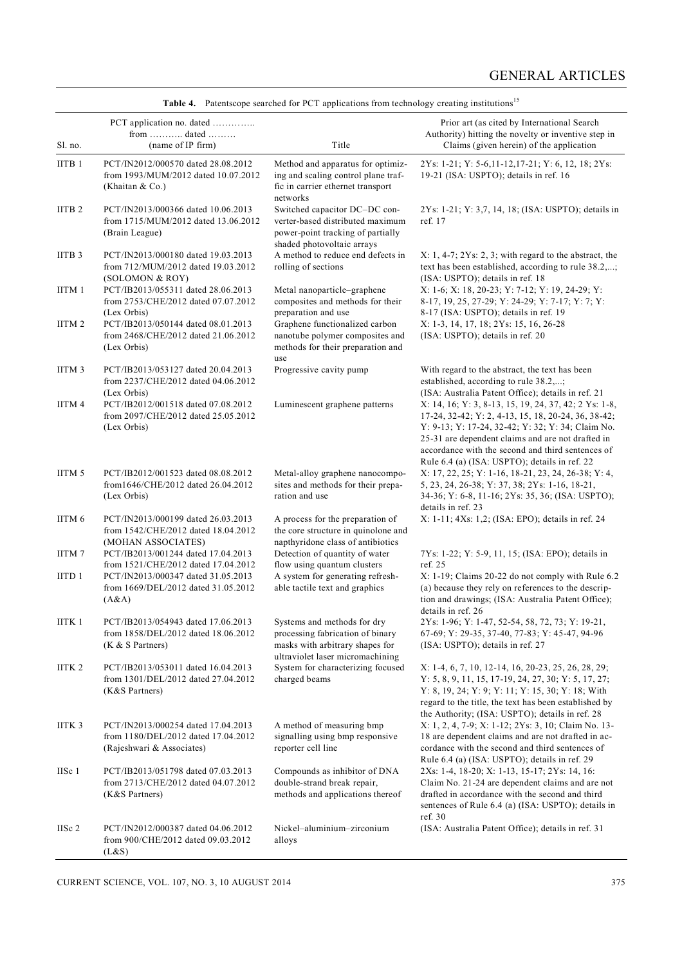| Sl. no.           | PCT application no. dated<br>from  dated<br>(name of IP firm)                                          | Title                                                                                                                                  | Prior art (as cited by International Search<br>Authority) hitting the novelty or inventive step in<br>Claims (given herein) of the application                                                                                                                                                                               |
|-------------------|--------------------------------------------------------------------------------------------------------|----------------------------------------------------------------------------------------------------------------------------------------|------------------------------------------------------------------------------------------------------------------------------------------------------------------------------------------------------------------------------------------------------------------------------------------------------------------------------|
| IITB <sub>1</sub> | PCT/IN2012/000570 dated 28.08.2012<br>from 1993/MUM/2012 dated 10.07.2012<br>(Khaitan $& Co.$ )        | Method and apparatus for optimiz-<br>ing and scaling control plane traf-<br>fic in carrier ethernet transport<br>networks              | 2Ys: 1-21; Y: 5-6,11-12,17-21; Y: 6, 12, 18; 2Ys:<br>19-21 (ISA: USPTO); details in ref. 16                                                                                                                                                                                                                                  |
| IITB <sub>2</sub> | PCT/IN2013/000366 dated 10.06.2013<br>from 1715/MUM/2012 dated 13.06.2012<br>(Brain League)            | Switched capacitor DC-DC con-<br>verter-based distributed maximum<br>power-point tracking of partially<br>shaded photovoltaic arrays   | 2Ys: 1-21; Y: 3,7, 14, 18; (ISA: USPTO); details in<br>ref. 17                                                                                                                                                                                                                                                               |
| IITB <sub>3</sub> | PCT/IN2013/000180 dated 19.03.2013<br>from 712/MUM/2012 dated 19.03.2012<br>(SOLOMON & ROY)            | A method to reduce end defects in<br>rolling of sections                                                                               | $X: 1, 4-7; 2Ys: 2, 3;$ with regard to the abstract, the<br>text has been established, according to rule 38.2,;<br>(ISA: USPTO); details in ref. 18                                                                                                                                                                          |
| IITM 1            | PCT/IB2013/055311 dated 28.06.2013<br>from 2753/CHE/2012 dated 07.07.2012<br>(Lex Orbis)               | Metal nanoparticle-graphene<br>composites and methods for their<br>preparation and use                                                 | X: 1-6; X: 18, 20-23; Y: 7-12; Y: 19, 24-29; Y:<br>8-17, 19, 25, 27-29; Y: 24-29; Y: 7-17; Y: 7; Y:<br>8-17 (ISA: USPTO); details in ref. 19                                                                                                                                                                                 |
| IITM <sub>2</sub> | PCT/IB2013/050144 dated 08.01.2013<br>from 2468/CHE/2012 dated 21.06.2012<br>(Lex Orbis)               | Graphene functionalized carbon<br>nanotube polymer composites and<br>methods for their preparation and<br>use                          | X: 1-3, 14, 17, 18; 2Ys: 15, 16, 26-28<br>(ISA: USPTO); details in ref. 20                                                                                                                                                                                                                                                   |
| IITM <sub>3</sub> | PCT/IB2013/053127 dated 20.04.2013<br>from 2237/CHE/2012 dated 04.06.2012<br>(Lex Orbis)               | Progressive cavity pump                                                                                                                | With regard to the abstract, the text has been<br>established, according to rule 38.2,;<br>(ISA: Australia Patent Office); details in ref. 21                                                                                                                                                                                |
| IITM 4            | PCT/IB2012/001518 dated 07.08.2012<br>from 2097/CHE/2012 dated 25.05.2012<br>(Lex Orbis)               | Luminescent graphene patterns                                                                                                          | X: 14, 16; Y: 3, 8-13, 15, 19, 24, 37, 42; 2 Ys: 1-8,<br>17-24, 32-42; Y: 2, 4-13, 15, 18, 20-24, 36, 38-42;<br>Y: 9-13; Y: 17-24, 32-42; Y: 32; Y: 34; Claim No.<br>25-31 are dependent claims and are not drafted in<br>accordance with the second and third sentences of<br>Rule 6.4 (a) (ISA: USPTO); details in ref. 22 |
| IITM 5            | PCT/IB2012/001523 dated 08.08.2012<br>from1646/CHE/2012 dated 26.04.2012<br>(Lex Orbis)                | Metal-alloy graphene nanocompo-<br>sites and methods for their prepa-<br>ration and use                                                | X: 17, 22, 25; Y: 1-16, 18-21, 23, 24, 26-38; Y: 4,<br>5, 23, 24, 26-38; Y: 37, 38; 2Ys: 1-16, 18-21,<br>34-36; Y: 6-8, 11-16; 2Ys: 35, 36; (ISA: USPTO);<br>details in ref. 23                                                                                                                                              |
| IITM 6            | PCT/IN2013/000199 dated 26.03.2013<br>from 1542/CHE/2012 dated 18.04.2012<br>(MOHAN ASSOCIATES)        | A process for the preparation of<br>the core structure in quinolone and<br>napthyridone class of antibiotics                           | X: 1-11; 4Xs: 1,2; (ISA: EPO); details in ref. 24                                                                                                                                                                                                                                                                            |
| IITM7             | PCT/IB2013/001244 dated 17.04.2013<br>from 1521/CHE/2012 dated 17.04.2012                              | Detection of quantity of water<br>flow using quantum clusters                                                                          | 7Ys: 1-22; Y: 5-9, 11, 15; (ISA: EPO); details in<br>ref. 25                                                                                                                                                                                                                                                                 |
| IITD <sub>1</sub> | PCT/IN2013/000347 dated 31.05.2013<br>from 1669/DEL/2012 dated 31.05.2012<br>(A&A)                     | A system for generating refresh-<br>able tactile text and graphics                                                                     | X: 1-19; Claims 20-22 do not comply with Rule 6.2<br>(a) because they rely on references to the descrip-<br>tion and drawings; (ISA: Australia Patent Office);<br>details in ref. 26                                                                                                                                         |
| IITK 1            | PCT/IB2013/054943 dated 17.06.2013<br>from 1858/DEL/2012 dated 18.06.2012<br>$(K & S$ Partners)        | Systems and methods for dry<br>processing fabrication of binary<br>masks with arbitrary shapes for<br>ultraviolet laser micromachining | 2Ys: 1-96; Y: 1-47, 52-54, 58, 72, 73; Y: 19-21,<br>67-69; Y: 29-35, 37-40, 77-83; Y: 45-47, 94-96<br>(ISA: USPTO); details in ref. 27                                                                                                                                                                                       |
| IITK <sub>2</sub> | PCT/IB2013/053011 dated 16.04.2013<br>from 1301/DEL/2012 dated 27.04.2012<br>(K&S Partners)            | System for characterizing focused<br>charged beams                                                                                     | X: 1-4, 6, 7, 10, 12-14, 16, 20-23, 25, 26, 28, 29;<br>Y: 5, 8, 9, 11, 15, 17-19, 24, 27, 30; Y: 5, 17, 27;<br>Y: 8, 19, 24; Y: 9; Y: 11; Y: 15, 30; Y: 18; With<br>regard to the title, the text has been established by<br>the Authority; (ISA: USPTO); details in ref. 28                                                 |
| IITK <sub>3</sub> | PCT/IN2013/000254 dated 17.04.2013<br>from 1180/DEL/2012 dated 17.04.2012<br>(Rajeshwari & Associates) | A method of measuring bmp<br>signalling using bmp responsive<br>reporter cell line                                                     | X: 1, 2, 4, 7-9; X: 1-12; 2Ys: 3, 10; Claim No. 13-<br>18 are dependent claims and are not drafted in ac-<br>cordance with the second and third sentences of<br>Rule 6.4 (a) (ISA: USPTO); details in ref. 29                                                                                                                |
| IISc 1            | PCT/IB2013/051798 dated 07.03.2013<br>from 2713/CHE/2012 dated 04.07.2012<br>(K&S Partners)            | Compounds as inhibitor of DNA<br>double-strand break repair,<br>methods and applications thereof                                       | 2Xs: 1-4, 18-20; X: 1-13, 15-17; 2Ys: 14, 16:<br>Claim No. 21-24 are dependent claims and are not<br>drafted in accordance with the second and third<br>sentences of Rule 6.4 (a) (ISA: USPTO); details in<br>ref. $30$                                                                                                      |
| IISc 2            | PCT/IN2012/000387 dated 04.06.2012<br>from 900/CHE/2012 dated 09.03.2012<br>(L&S)                      | Nickel-aluminium-zirconium<br>alloys                                                                                                   | (ISA: Australia Patent Office); details in ref. 31                                                                                                                                                                                                                                                                           |

|  |  | Table 4. Patentscope searched for PCT applications from technology creating institutions <sup>15</sup> |  |
|--|--|--------------------------------------------------------------------------------------------------------|--|
|  |  |                                                                                                        |  |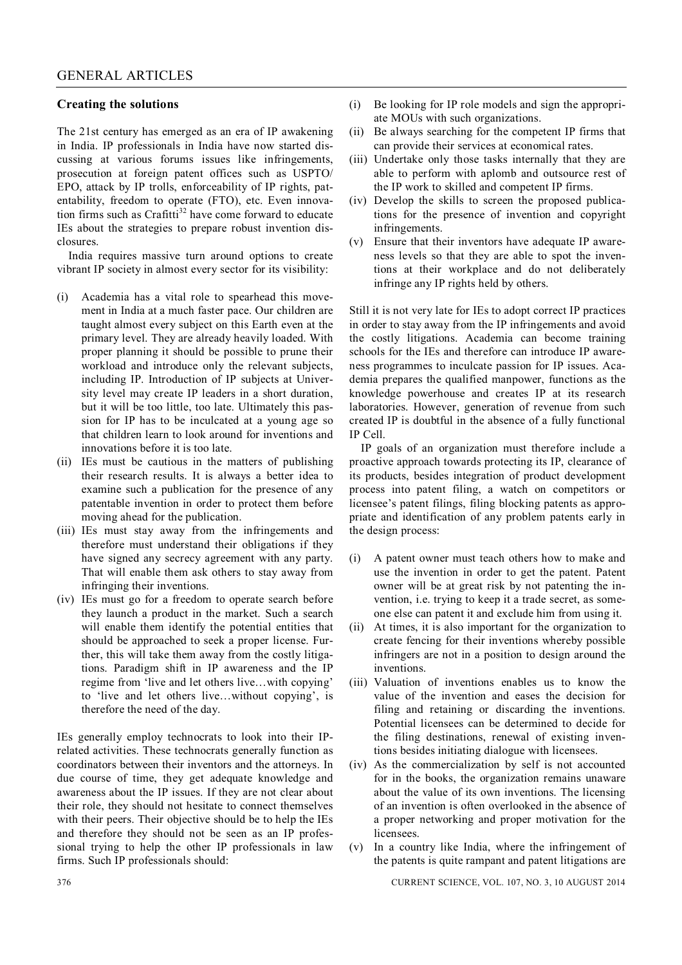### **Creating the solutions**

The 21st century has emerged as an era of IP awakening in India. IP professionals in India have now started discussing at various forums issues like infringements, prosecution at foreign patent offices such as USPTO/ EPO, attack by IP trolls, enforceability of IP rights, patentability, freedom to operate (FTO), etc. Even innovation firms such as  $Crafitti^{32}$  have come forward to educate IEs about the strategies to prepare robust invention disclosures.

India requires massive turn around options to create vibrant IP society in almost every sector for its visibility:

- (i) Academia has a vital role to spearhead this movement in India at a much faster pace. Our children are taught almost every subject on this Earth even at the primary level. They are already heavily loaded. With proper planning it should be possible to prune their workload and introduce only the relevant subjects, including IP. Introduction of IP subjects at University level may create IP leaders in a short duration, but it will be too little, too late. Ultimately this passion for IP has to be inculcated at a young age so that children learn to look around for inventions and innovations before it is too late.
- (ii) IEs must be cautious in the matters of publishing their research results. It is always a better idea to examine such a publication for the presence of any patentable invention in order to protect them before moving ahead for the publication.
- (iii) IEs must stay away from the infringements and therefore must understand their obligations if they have signed any secrecy agreement with any party. That will enable them ask others to stay away from infringing their inventions.
- (iv) IEs must go for a freedom to operate search before they launch a product in the market. Such a search will enable them identify the potential entities that should be approached to seek a proper license. Further, this will take them away from the costly litigations. Paradigm shift in IP awareness and the IP regime from 'live and let others live…with copying' to 'live and let others live…without copying', is therefore the need of the day.

IEs generally employ technocrats to look into their IPrelated activities. These technocrats generally function as coordinators between their inventors and the attorneys. In due course of time, they get adequate knowledge and awareness about the IP issues. If they are not clear about their role, they should not hesitate to connect themselves with their peers. Their objective should be to help the IEs and therefore they should not be seen as an IP professional trying to help the other IP professionals in law firms. Such IP professionals should:

- (i) Be looking for IP role models and sign the appropriate MOUs with such organizations.
- (ii) Be always searching for the competent IP firms that can provide their services at economical rates.
- (iii) Undertake only those tasks internally that they are able to perform with aplomb and outsource rest of the IP work to skilled and competent IP firms.
- (iv) Develop the skills to screen the proposed publications for the presence of invention and copyright infringements.
- (v) Ensure that their inventors have adequate IP awareness levels so that they are able to spot the inventions at their workplace and do not deliberately infringe any IP rights held by others.

Still it is not very late for IEs to adopt correct IP practices in order to stay away from the IP infringements and avoid the costly litigations. Academia can become training schools for the IEs and therefore can introduce IP awareness programmes to inculcate passion for IP issues. Academia prepares the qualified manpower, functions as the knowledge powerhouse and creates IP at its research laboratories. However, generation of revenue from such created IP is doubtful in the absence of a fully functional IP Cell.

IP goals of an organization must therefore include a proactive approach towards protecting its IP, clearance of its products, besides integration of product development process into patent filing, a watch on competitors or licensee's patent filings, filing blocking patents as appropriate and identification of any problem patents early in the design process:

- (i) A patent owner must teach others how to make and use the invention in order to get the patent. Patent owner will be at great risk by not patenting the invention, i.e. trying to keep it a trade secret, as someone else can patent it and exclude him from using it.
- (ii) At times, it is also important for the organization to create fencing for their inventions whereby possible infringers are not in a position to design around the inventions.
- (iii) Valuation of inventions enables us to know the value of the invention and eases the decision for filing and retaining or discarding the inventions. Potential licensees can be determined to decide for the filing destinations, renewal of existing inventions besides initiating dialogue with licensees.
- (iv) As the commercialization by self is not accounted for in the books, the organization remains unaware about the value of its own inventions. The licensing of an invention is often overlooked in the absence of a proper networking and proper motivation for the licensees.
- (v) In a country like India, where the infringement of the patents is quite rampant and patent litigations are

376 CURRENT SCIENCE, VOL. 107, NO. 3, 10 AUGUST 2014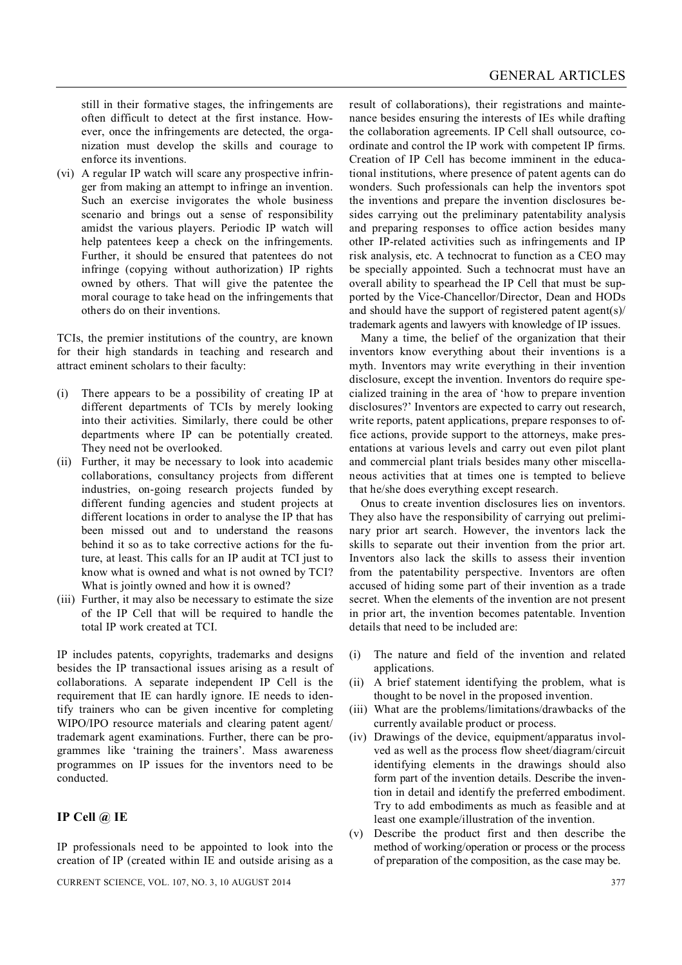still in their formative stages, the infringements are often difficult to detect at the first instance. However, once the infringements are detected, the organization must develop the skills and courage to enforce its inventions.

(vi) A regular IP watch will scare any prospective infringer from making an attempt to infringe an invention. Such an exercise invigorates the whole business scenario and brings out a sense of responsibility amidst the various players. Periodic IP watch will help patentees keep a check on the infringements. Further, it should be ensured that patentees do not infringe (copying without authorization) IP rights owned by others. That will give the patentee the moral courage to take head on the infringements that others do on their inventions.

TCIs, the premier institutions of the country, are known for their high standards in teaching and research and attract eminent scholars to their faculty:

- (i) There appears to be a possibility of creating IP at different departments of TCIs by merely looking into their activities. Similarly, there could be other departments where IP can be potentially created. They need not be overlooked.
- (ii) Further, it may be necessary to look into academic collaborations, consultancy projects from different industries, on-going research projects funded by different funding agencies and student projects at different locations in order to analyse the IP that has been missed out and to understand the reasons behind it so as to take corrective actions for the future, at least. This calls for an IP audit at TCI just to know what is owned and what is not owned by TCI? What is jointly owned and how it is owned?
- (iii) Further, it may also be necessary to estimate the size of the IP Cell that will be required to handle the total IP work created at TCI.

IP includes patents, copyrights, trademarks and designs besides the IP transactional issues arising as a result of collaborations. A separate independent IP Cell is the requirement that IE can hardly ignore. IE needs to identify trainers who can be given incentive for completing WIPO/IPO resource materials and clearing patent agent/ trademark agent examinations. Further, there can be programmes like 'training the trainers'. Mass awareness programmes on IP issues for the inventors need to be conducted.

## **IP Cell @ IE**

IP professionals need to be appointed to look into the creation of IP (created within IE and outside arising as a

CURRENT SCIENCE, VOL. 107, NO. 3, 10 AUGUST 2014 377

result of collaborations), their registrations and maintenance besides ensuring the interests of IEs while drafting the collaboration agreements. IP Cell shall outsource, coordinate and control the IP work with competent IP firms. Creation of IP Cell has become imminent in the educational institutions, where presence of patent agents can do wonders. Such professionals can help the inventors spot the inventions and prepare the invention disclosures besides carrying out the preliminary patentability analysis and preparing responses to office action besides many other IP-related activities such as infringements and IP risk analysis, etc. A technocrat to function as a CEO may be specially appointed. Such a technocrat must have an overall ability to spearhead the IP Cell that must be supported by the Vice-Chancellor/Director, Dean and HODs and should have the support of registered patent agent(s)/ trademark agents and lawyers with knowledge of IP issues.

Many a time, the belief of the organization that their inventors know everything about their inventions is a myth. Inventors may write everything in their invention disclosure, except the invention. Inventors do require specialized training in the area of 'how to prepare invention disclosures?' Inventors are expected to carry out research, write reports, patent applications, prepare responses to office actions, provide support to the attorneys, make presentations at various levels and carry out even pilot plant and commercial plant trials besides many other miscellaneous activities that at times one is tempted to believe that he/she does everything except research.

Onus to create invention disclosures lies on inventors. They also have the responsibility of carrying out preliminary prior art search. However, the inventors lack the skills to separate out their invention from the prior art. Inventors also lack the skills to assess their invention from the patentability perspective. Inventors are often accused of hiding some part of their invention as a trade secret. When the elements of the invention are not present in prior art, the invention becomes patentable. Invention details that need to be included are:

- (i) The nature and field of the invention and related applications.
- (ii) A brief statement identifying the problem, what is thought to be novel in the proposed invention.
- (iii) What are the problems/limitations/drawbacks of the currently available product or process.
- (iv) Drawings of the device, equipment/apparatus involved as well as the process flow sheet/diagram/circuit identifying elements in the drawings should also form part of the invention details. Describe the invention in detail and identify the preferred embodiment. Try to add embodiments as much as feasible and at least one example/illustration of the invention.
- (v) Describe the product first and then describe the method of working/operation or process or the process of preparation of the composition, as the case may be.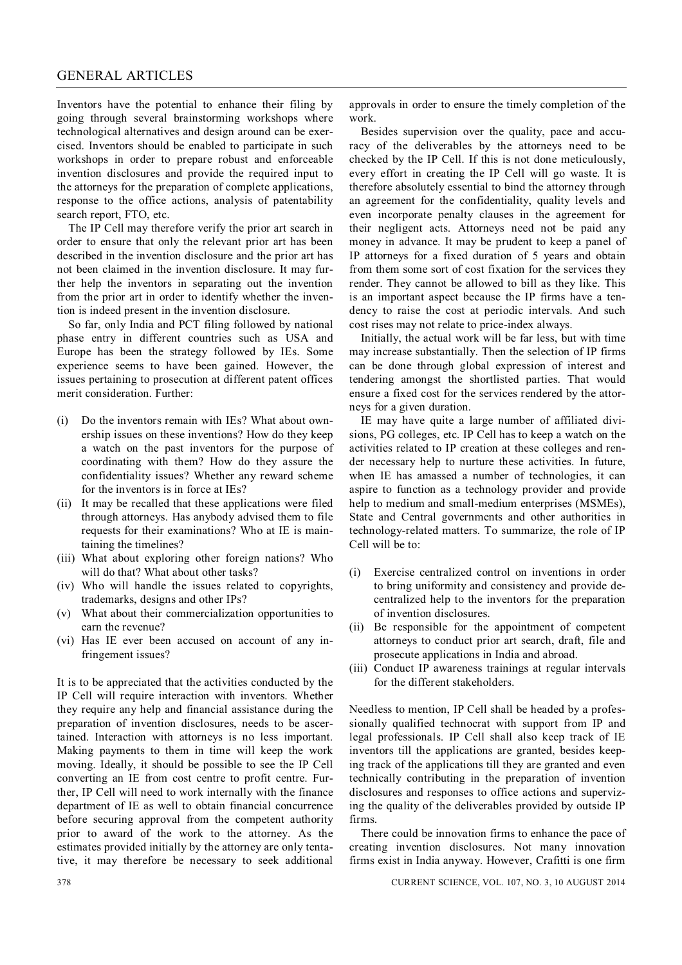#### GENERAL ARTICLES

Inventors have the potential to enhance their filing by going through several brainstorming workshops where technological alternatives and design around can be exercised. Inventors should be enabled to participate in such workshops in order to prepare robust and enforceable invention disclosures and provide the required input to the attorneys for the preparation of complete applications, response to the office actions, analysis of patentability search report, FTO, etc.

The IP Cell may therefore verify the prior art search in order to ensure that only the relevant prior art has been described in the invention disclosure and the prior art has not been claimed in the invention disclosure. It may further help the inventors in separating out the invention from the prior art in order to identify whether the invention is indeed present in the invention disclosure.

So far, only India and PCT filing followed by national phase entry in different countries such as USA and Europe has been the strategy followed by IEs. Some experience seems to have been gained. However, the issues pertaining to prosecution at different patent offices merit consideration. Further:

- (i) Do the inventors remain with IEs? What about ownership issues on these inventions? How do they keep a watch on the past inventors for the purpose of coordinating with them? How do they assure the confidentiality issues? Whether any reward scheme for the inventors is in force at IEs?
- (ii) It may be recalled that these applications were filed through attorneys. Has anybody advised them to file requests for their examinations? Who at IE is maintaining the timelines?
- (iii) What about exploring other foreign nations? Who will do that? What about other tasks?
- (iv) Who will handle the issues related to copyrights, trademarks, designs and other IPs?
- (v) What about their commercialization opportunities to earn the revenue?
- (vi) Has IE ever been accused on account of any infringement issues?

It is to be appreciated that the activities conducted by the IP Cell will require interaction with inventors. Whether they require any help and financial assistance during the preparation of invention disclosures, needs to be ascertained. Interaction with attorneys is no less important. Making payments to them in time will keep the work moving. Ideally, it should be possible to see the IP Cell converting an IE from cost centre to profit centre. Further, IP Cell will need to work internally with the finance department of IE as well to obtain financial concurrence before securing approval from the competent authority prior to award of the work to the attorney. As the estimates provided initially by the attorney are only tentative, it may therefore be necessary to seek additional

approvals in order to ensure the timely completion of the work.

Besides supervision over the quality, pace and accuracy of the deliverables by the attorneys need to be checked by the IP Cell. If this is not done meticulously, every effort in creating the IP Cell will go waste. It is therefore absolutely essential to bind the attorney through an agreement for the confidentiality, quality levels and even incorporate penalty clauses in the agreement for their negligent acts. Attorneys need not be paid any money in advance. It may be prudent to keep a panel of IP attorneys for a fixed duration of 5 years and obtain from them some sort of cost fixation for the services they render. They cannot be allowed to bill as they like. This is an important aspect because the IP firms have a tendency to raise the cost at periodic intervals. And such cost rises may not relate to price-index always.

Initially, the actual work will be far less, but with time may increase substantially. Then the selection of IP firms can be done through global expression of interest and tendering amongst the shortlisted parties. That would ensure a fixed cost for the services rendered by the attorneys for a given duration.

IE may have quite a large number of affiliated divisions, PG colleges, etc. IP Cell has to keep a watch on the activities related to IP creation at these colleges and render necessary help to nurture these activities. In future, when IE has amassed a number of technologies, it can aspire to function as a technology provider and provide help to medium and small-medium enterprises (MSMEs), State and Central governments and other authorities in technology-related matters. To summarize, the role of IP Cell will be to:

- (i) Exercise centralized control on inventions in order to bring uniformity and consistency and provide decentralized help to the inventors for the preparation of invention disclosures.
- (ii) Be responsible for the appointment of competent attorneys to conduct prior art search, draft, file and prosecute applications in India and abroad.
- (iii) Conduct IP awareness trainings at regular intervals for the different stakeholders.

Needless to mention, IP Cell shall be headed by a professionally qualified technocrat with support from IP and legal professionals. IP Cell shall also keep track of IE inventors till the applications are granted, besides keeping track of the applications till they are granted and even technically contributing in the preparation of invention disclosures and responses to office actions and supervizing the quality of the deliverables provided by outside IP firms.

There could be innovation firms to enhance the pace of creating invention disclosures. Not many innovation firms exist in India anyway. However, Crafitti is one firm